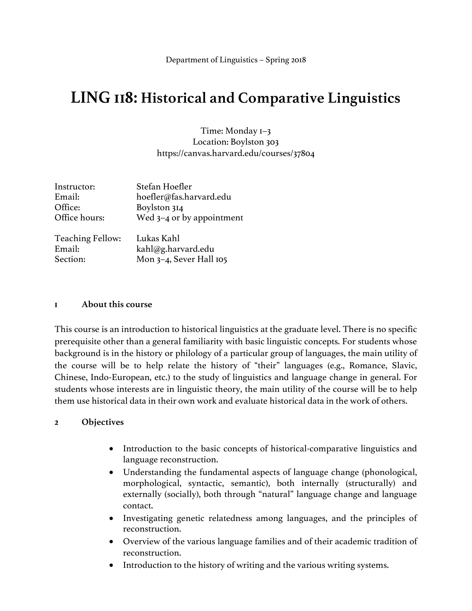# **LING 118: Historical and Comparative Linguistics**

Time: Monday 1–3 Location: Boylston 303 https://canvas.harvard.edu/courses/37804

| Instructor:             | Stefan Hoefler              |
|-------------------------|-----------------------------|
| Email:                  | hoefler@fas.harvard.edu     |
| Office:                 | Boylston 314                |
| Office hours:           | Wed $3-4$ or by appointment |
| <b>Teaching Fellow:</b> | Lukas Kahl                  |
| Email:                  | kahl@g.harvard.edu          |
| Section:                | Mon 3-4, Sever Hall 105     |

#### **1 About this course**

This course is an introduction to historical linguistics at the graduate level. There is no specific prerequisite other than a general familiarity with basic linguistic concepts. For students whose background is in the history or philology of a particular group of languages, the main utility of the course will be to help relate the history of "their" languages (e.g., Romance, Slavic, Chinese, Indo-European, etc.) to the study of linguistics and language change in general. For students whose interests are in linguistic theory, the main utility of the course will be to help them use historical data in their own work and evaluate historical data in the work of others.

### **2 Objectives**

- Introduction to the basic concepts of historical-comparative linguistics and language reconstruction.
- Understanding the fundamental aspects of language change (phonological, morphological, syntactic, semantic), both internally (structurally) and externally (socially), both through "natural" language change and language contact.
- Investigating genetic relatedness among languages, and the principles of reconstruction.
- Overview of the various language families and of their academic tradition of reconstruction.
- Introduction to the history of writing and the various writing systems.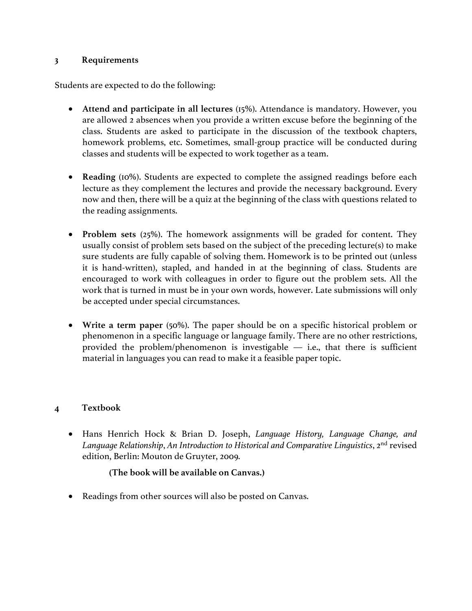#### **3 Requirements**

Students are expected to do the following:

- **Attend and participate in all lectures** (15%). Attendance is mandatory. However, you are allowed 2 absences when you provide a written excuse before the beginning of the class. Students are asked to participate in the discussion of the textbook chapters, homework problems, etc. Sometimes, small-group practice will be conducted during classes and students will be expected to work together as a team.
- **Reading** (10%). Students are expected to complete the assigned readings before each lecture as they complement the lectures and provide the necessary background. Every now and then, there will be a quiz at the beginning of the class with questions related to the reading assignments.
- **Problem sets** (25%). The homework assignments will be graded for content. They usually consist of problem sets based on the subject of the preceding lecture(s) to make sure students are fully capable of solving them. Homework is to be printed out (unless it is hand-written), stapled, and handed in at the beginning of class. Students are encouraged to work with colleagues in order to figure out the problem sets. All the work that is turned in must be in your own words, however. Late submissions will only be accepted under special circumstances.
- **Write a term paper** (50%). The paper should be on a specific historical problem or phenomenon in a specific language or language family. There are no other restrictions, provided the problem/phenomenon is investigable  $-$  i.e., that there is sufficient material in languages you can read to make it a feasible paper topic.

### **4 Textbook**

• Hans Henrich Hock & Brian D. Joseph, *Language History, Language Change, and Language Relationship*, *An Introduction to Historical and Comparative Linguistics*, 2nd revised edition, Berlin: Mouton de Gruyter, 2009.

### **(The book will be available on Canvas.)**

Readings from other sources will also be posted on Canvas.